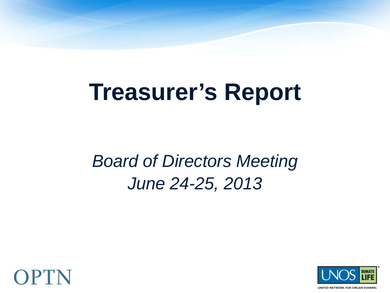# **Treasurer's Report**

#### *Board of Directors Meeting June 24-25, 2013*



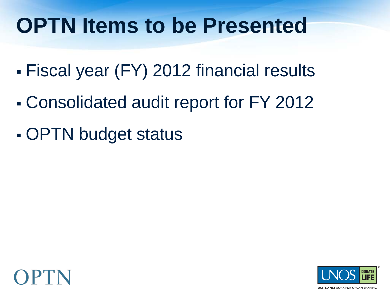## **OPTN Items to be Presented**

- Fiscal year (FY) 2012 financial results
- Consolidated audit report for FY 2012
- OPTN budget status



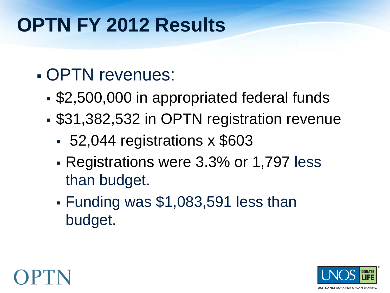#### **OPTN FY 2012 Results**

- OPTN revenues:
	- \$2,500,000 in appropriated federal funds
	- \$31,382,532 in OPTN registration revenue
		- 52,044 registrations x \$603
		- Registrations were 3.3% or 1,797 less than budget.
		- Funding was \$1,083,591 less than budget.

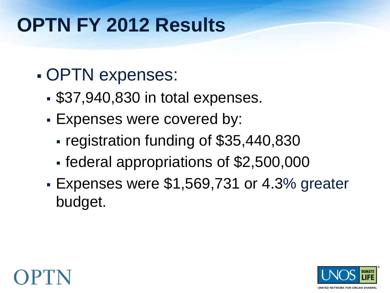#### **OPTN FY 2012 Results**

- OPTN expenses:
	- \$37,940,830 in total expenses.
	- Expenses were covered by:
		- registration funding of \$35,440,830
		- federal appropriations of \$2,500,000
	- Expenses were \$1,569,731 or 4.3% greater budget.



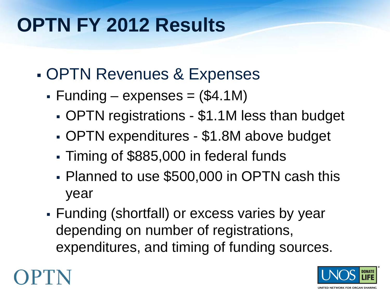#### **OPTN FY 2012 Results**

- OPTN Revenues & Expenses
	- $\blacktriangleright$  Funding expenses = (\$4.1M)
		- OPTN registrations \$1.1M less than budget
		- OPTN expenditures \$1.8M above budget
		- Timing of \$885,000 in federal funds
		- Planned to use \$500,000 in OPTN cash this year
	- Funding (shortfall) or excess varies by year depending on number of registrations, expenditures, and timing of funding sources.



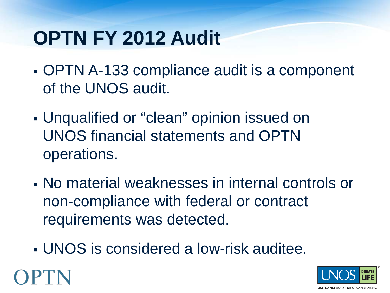### **OPTN FY 2012 Audit**

- OPTN A-133 compliance audit is a component of the UNOS audit.
- Unqualified or "clean" opinion issued on UNOS financial statements and OPTN operations.
- No material weaknesses in internal controls or non-compliance with federal or contract requirements was detected.
- UNOS is considered a low-risk auditee.

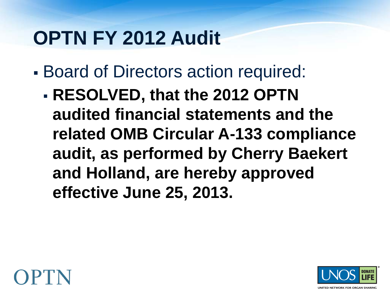#### **OPTN FY 2012 Audit**

- Board of Directors action required:
	- **RESOLVED, that the 2012 OPTN audited financial statements and the related OMB Circular A-133 compliance audit, as performed by Cherry Baekert and Holland, are hereby approved effective June 25, 2013.**



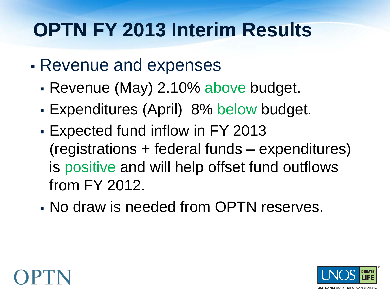#### **OPTN FY 2013 Interim Results**

- Revenue and expenses
	- Revenue (May) 2.10% above budget.
	- Expenditures (April) 8% below budget.
	- Expected fund inflow in FY 2013 (registrations + federal funds – expenditures) is positive and will help offset fund outflows from FY 2012.
	- No draw is needed from OPTN reserves.